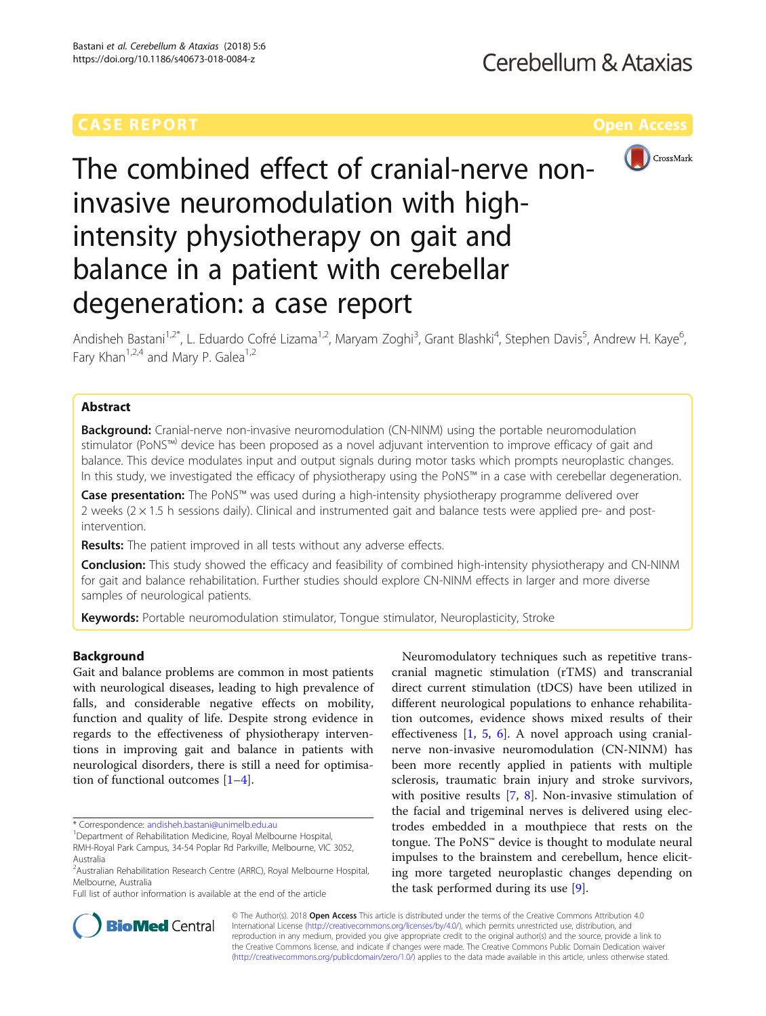

# The combined effect of cranial-nerve noninvasive neuromodulation with highintensity physiotherapy on gait and balance in a patient with cerebellar degeneration: a case report

Andisheh Bastani<sup>1,2\*</sup>, L. Eduardo Cofré Lizama<sup>1,2</sup>, Maryam Zoghi<sup>3</sup>, Grant Blashki<sup>4</sup>, Stephen Davis<sup>5</sup>, Andrew H. Kaye<sup>6</sup> י<br>, Fary Khan<sup>1,2,4</sup> and Mary P. Galea<sup>1,2</sup>

### Abstract

**Background:** Cranial-nerve non-invasive neuromodulation (CN-NINM) using the portable neuromodulation stimulator (PoNS™) device has been proposed as a novel adjuvant intervention to improve efficacy of gait and balance. This device modulates input and output signals during motor tasks which prompts neuroplastic changes. In this study, we investigated the efficacy of physiotherapy using the PoNS™ in a case with cerebellar degeneration.

Case presentation: The PoNS™ was used during a high-intensity physiotherapy programme delivered over 2 weeks  $(2 \times 1.5$  h sessions daily). Clinical and instrumented gait and balance tests were applied pre- and postintervention.

Results: The patient improved in all tests without any adverse effects.

**Conclusion:** This study showed the efficacy and feasibility of combined high-intensity physiotherapy and CN-NINM for gait and balance rehabilitation. Further studies should explore CN-NINM effects in larger and more diverse samples of neurological patients.

Keywords: Portable neuromodulation stimulator, Tongue stimulator, Neuroplasticity, Stroke

#### Background

Gait and balance problems are common in most patients with neurological diseases, leading to high prevalence of falls, and considerable negative effects on mobility, function and quality of life. Despite strong evidence in regards to the effectiveness of physiotherapy interventions in improving gait and balance in patients with neurological disorders, there is still a need for optimisation of functional outcomes [[1](#page-3-0)–[4](#page-3-0)].

Full list of author information is available at the end of the article

Neuromodulatory techniques such as repetitive transcranial magnetic stimulation (rTMS) and transcranial direct current stimulation (tDCS) have been utilized in different neurological populations to enhance rehabilitation outcomes, evidence shows mixed results of their effectiveness [\[1](#page-3-0), [5,](#page-3-0) [6](#page-4-0)]. A novel approach using cranialnerve non-invasive neuromodulation (CN-NINM) has been more recently applied in patients with multiple sclerosis, traumatic brain injury and stroke survivors, with positive results [[7](#page-4-0), [8\]](#page-4-0). Non-invasive stimulation of the facial and trigeminal nerves is delivered using electrodes embedded in a mouthpiece that rests on the tongue. The PoNS™ device is thought to modulate neural impulses to the brainstem and cerebellum, hence eliciting more targeted neuroplastic changes depending on the task performed during its use [[9](#page-4-0)].



© The Author(s). 2018 Open Access This article is distributed under the terms of the Creative Commons Attribution 4.0 International License [\(http://creativecommons.org/licenses/by/4.0/](http://creativecommons.org/licenses/by/4.0/)), which permits unrestricted use, distribution, and reproduction in any medium, provided you give appropriate credit to the original author(s) and the source, provide a link to the Creative Commons license, and indicate if changes were made. The Creative Commons Public Domain Dedication waiver [\(http://creativecommons.org/publicdomain/zero/1.0/](http://creativecommons.org/publicdomain/zero/1.0/)) applies to the data made available in this article, unless otherwise stated.

<sup>\*</sup> Correspondence: [andisheh.bastani@unimelb.edu.au](mailto:andisheh.bastani@unimelb.edu.au) <sup>1</sup>

<sup>&</sup>lt;sup>1</sup>Department of Rehabilitation Medicine, Royal Melbourne Hospital, RMH-Royal Park Campus, 34-54 Poplar Rd Parkville, Melbourne, VIC 3052,

Australia

<sup>&</sup>lt;sup>2</sup> Australian Rehabilitation Research Centre (ARRC), Royal Melbourne Hospital, Melbourne, Australia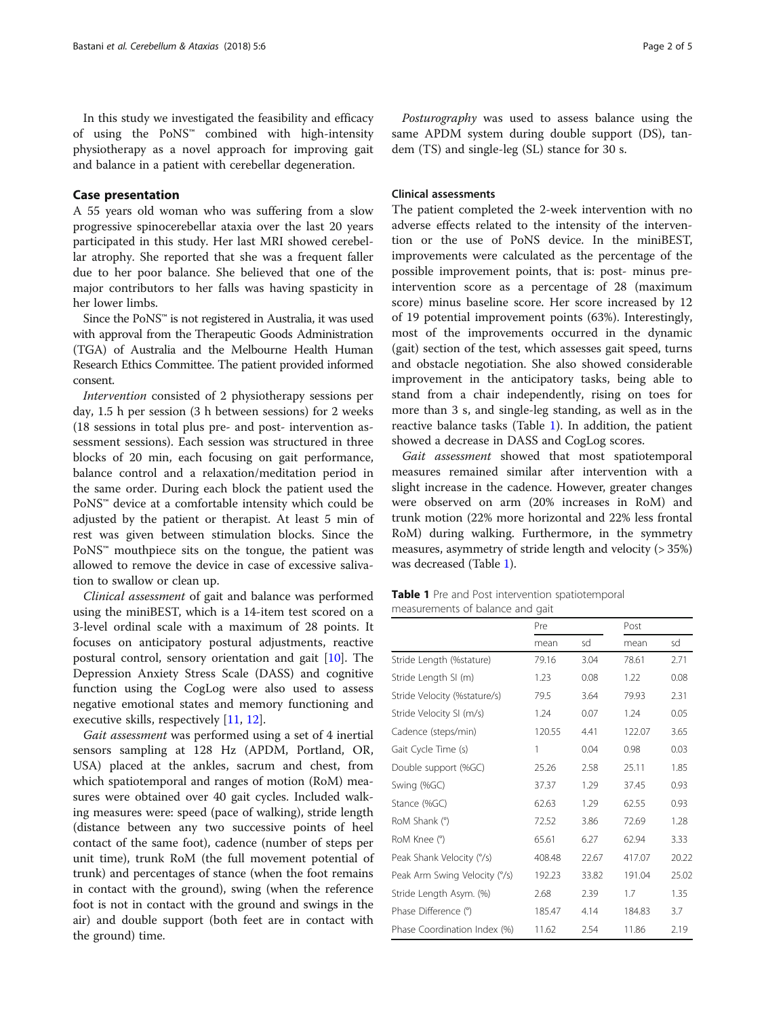In this study we investigated the feasibility and efficacy of using the PoNS™ combined with high-intensity physiotherapy as a novel approach for improving gait and balance in a patient with cerebellar degeneration.

#### Case presentation

A 55 years old woman who was suffering from a slow progressive spinocerebellar ataxia over the last 20 years participated in this study. Her last MRI showed cerebellar atrophy. She reported that she was a frequent faller due to her poor balance. She believed that one of the major contributors to her falls was having spasticity in her lower limbs.

Since the PoNS™ is not registered in Australia, it was used with approval from the Therapeutic Goods Administration (TGA) of Australia and the Melbourne Health Human Research Ethics Committee. The patient provided informed consent.

Intervention consisted of 2 physiotherapy sessions per day, 1.5 h per session (3 h between sessions) for 2 weeks (18 sessions in total plus pre- and post- intervention assessment sessions). Each session was structured in three blocks of 20 min, each focusing on gait performance, balance control and a relaxation/meditation period in the same order. During each block the patient used the PoNS™ device at a comfortable intensity which could be adjusted by the patient or therapist. At least 5 min of rest was given between stimulation blocks. Since the PoNS™ mouthpiece sits on the tongue, the patient was allowed to remove the device in case of excessive salivation to swallow or clean up.

Clinical assessment of gait and balance was performed using the miniBEST, which is a 14-item test scored on a 3-level ordinal scale with a maximum of 28 points. It focuses on anticipatory postural adjustments, reactive postural control, sensory orientation and gait [\[10\]](#page-4-0). The Depression Anxiety Stress Scale (DASS) and cognitive function using the CogLog were also used to assess negative emotional states and memory functioning and executive skills, respectively [[11,](#page-4-0) [12](#page-4-0)].

Gait assessment was performed using a set of 4 inertial sensors sampling at 128 Hz (APDM, Portland, OR, USA) placed at the ankles, sacrum and chest, from which spatiotemporal and ranges of motion (RoM) measures were obtained over 40 gait cycles. Included walking measures were: speed (pace of walking), stride length (distance between any two successive points of heel contact of the same foot), cadence (number of steps per unit time), trunk RoM (the full movement potential of trunk) and percentages of stance (when the foot remains in contact with the ground), swing (when the reference foot is not in contact with the ground and swings in the air) and double support (both feet are in contact with the ground) time.

Posturography was used to assess balance using the same APDM system during double support (DS), tandem (TS) and single-leg (SL) stance for 30 s.

#### Clinical assessments

The patient completed the 2-week intervention with no adverse effects related to the intensity of the intervention or the use of PoNS device. In the miniBEST, improvements were calculated as the percentage of the possible improvement points, that is: post- minus preintervention score as a percentage of 28 (maximum score) minus baseline score. Her score increased by 12 of 19 potential improvement points (63%). Interestingly, most of the improvements occurred in the dynamic (gait) section of the test, which assesses gait speed, turns and obstacle negotiation. She also showed considerable improvement in the anticipatory tasks, being able to stand from a chair independently, rising on toes for more than 3 s, and single-leg standing, as well as in the reactive balance tasks (Table 1). In addition, the patient showed a decrease in DASS and CogLog scores.

Gait assessment showed that most spatiotemporal measures remained similar after intervention with a slight increase in the cadence. However, greater changes were observed on arm (20% increases in RoM) and trunk motion (22% more horizontal and 22% less frontal RoM) during walking. Furthermore, in the symmetry measures, asymmetry of stride length and velocity (> 35%) was decreased (Table 1).

| <b>Table 1</b> Pre and Post intervention spatiotemporal |  |
|---------------------------------------------------------|--|
| measurements of balance and gait                        |  |

|                              | Pre    |       | Post   |       |
|------------------------------|--------|-------|--------|-------|
|                              | mean   | sd    | mean   | sd    |
| Stride Length (%stature)     | 79.16  | 3.04  | 78.61  | 2.71  |
| Stride Length SI (m)         | 1.23   | 0.08  | 1.22   | 0.08  |
| Stride Velocity (%stature/s) | 79.5   | 3.64  | 79.93  | 2.31  |
| Stride Velocity SI (m/s)     | 1.24   | 0.07  | 1.24   | 0.05  |
| Cadence (steps/min)          | 120.55 | 4.41  | 122.07 | 3.65  |
| Gait Cycle Time (s)          | 1      | 0.04  | 0.98   | 0.03  |
| Double support (%GC)         | 25.26  | 2.58  | 25.11  | 1.85  |
| Swing (%GC)                  | 37.37  | 1.29  | 37.45  | 0.93  |
| Stance (%GC)                 | 62.63  | 1.29  | 62.55  | 0.93  |
| RoM Shank (°)                | 72.52  | 3.86  | 72.69  | 1.28  |
| RoM Knee (°)                 | 65.61  | 6.27  | 62.94  | 3.33  |
| Peak Shank Velocity (°/s)    | 408.48 | 22.67 | 417.07 | 20.22 |
| Peak Arm Swing Velocity (%)  | 192.23 | 33.82 | 191.04 | 25.02 |
| Stride Length Asym. (%)      | 2.68   | 2.39  | 1.7    | 1.35  |
| Phase Difference (°)         | 185.47 | 4.14  | 184.83 | 3.7   |
| Phase Coordination Index (%) | 11.62  | 2.54  | 11.86  | 2.19  |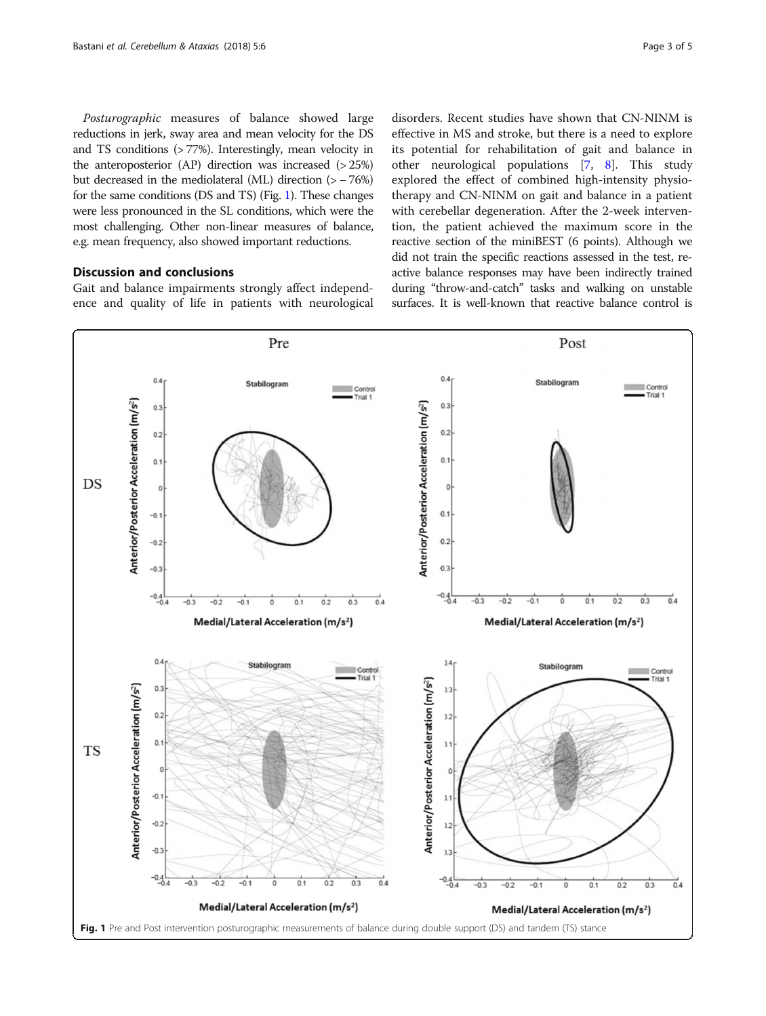Posturographic measures of balance showed large reductions in jerk, sway area and mean velocity for the DS and TS conditions (> 77%). Interestingly, mean velocity in the anteroposterior  $(AP)$  direction was increased  $(>25%)$ but decreased in the mediolateral (ML) direction (> − 76%) for the same conditions (DS and TS) (Fig. 1). These changes were less pronounced in the SL conditions, which were the most challenging. Other non-linear measures of balance, e.g. mean frequency, also showed important reductions.

#### Discussion and conclusions

Gait and balance impairments strongly affect independence and quality of life in patients with neurological

disorders. Recent studies have shown that CN-NINM is effective in MS and stroke, but there is a need to explore its potential for rehabilitation of gait and balance in other neurological populations [\[7](#page-4-0), [8](#page-4-0)]. This study explored the effect of combined high-intensity physiotherapy and CN-NINM on gait and balance in a patient with cerebellar degeneration. After the 2-week intervention, the patient achieved the maximum score in the reactive section of the miniBEST (6 points). Although we did not train the specific reactions assessed in the test, reactive balance responses may have been indirectly trained during "throw-and-catch" tasks and walking on unstable surfaces. It is well-known that reactive balance control is

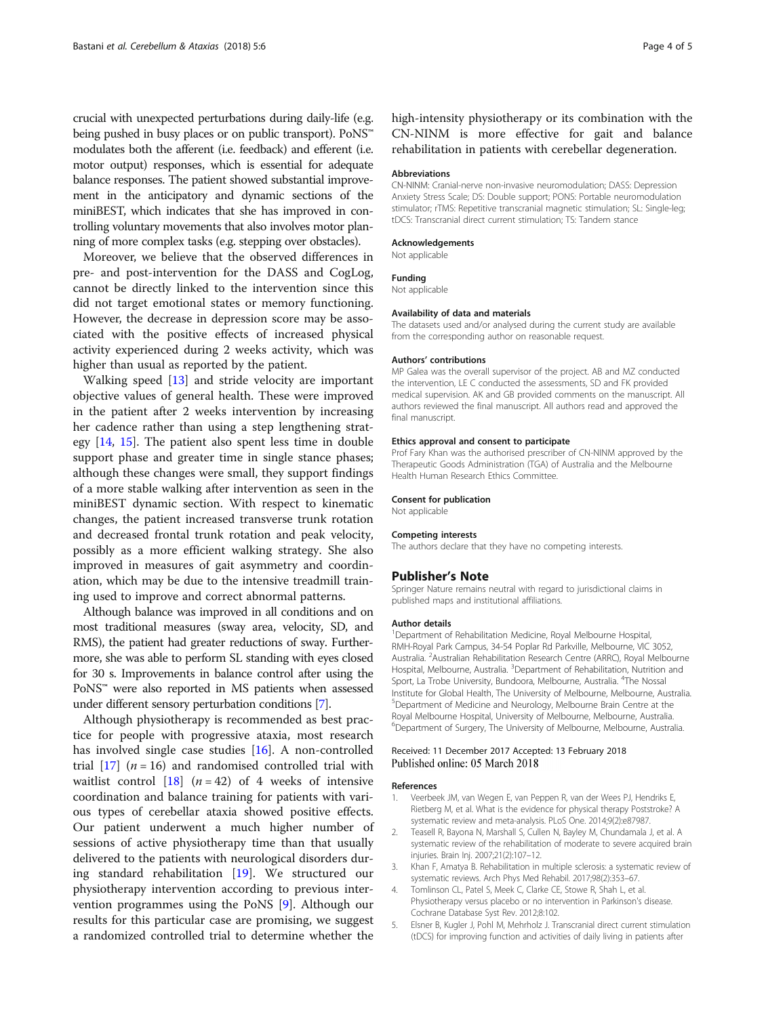<span id="page-3-0"></span>crucial with unexpected perturbations during daily-life (e.g. being pushed in busy places or on public transport). PoNS™ modulates both the afferent (i.e. feedback) and efferent (i.e. motor output) responses, which is essential for adequate balance responses. The patient showed substantial improvement in the anticipatory and dynamic sections of the miniBEST, which indicates that she has improved in controlling voluntary movements that also involves motor planning of more complex tasks (e.g. stepping over obstacles).

Moreover, we believe that the observed differences in pre- and post-intervention for the DASS and CogLog, cannot be directly linked to the intervention since this did not target emotional states or memory functioning. However, the decrease in depression score may be associated with the positive effects of increased physical activity experienced during 2 weeks activity, which was higher than usual as reported by the patient.

Walking speed [[13\]](#page-4-0) and stride velocity are important objective values of general health. These were improved in the patient after 2 weeks intervention by increasing her cadence rather than using a step lengthening strategy [\[14](#page-4-0), [15](#page-4-0)]. The patient also spent less time in double support phase and greater time in single stance phases; although these changes were small, they support findings of a more stable walking after intervention as seen in the miniBEST dynamic section. With respect to kinematic changes, the patient increased transverse trunk rotation and decreased frontal trunk rotation and peak velocity, possibly as a more efficient walking strategy. She also improved in measures of gait asymmetry and coordination, which may be due to the intensive treadmill training used to improve and correct abnormal patterns.

Although balance was improved in all conditions and on most traditional measures (sway area, velocity, SD, and RMS), the patient had greater reductions of sway. Furthermore, she was able to perform SL standing with eyes closed for 30 s. Improvements in balance control after using the PoNS™ were also reported in MS patients when assessed under different sensory perturbation conditions [\[7\]](#page-4-0).

Although physiotherapy is recommended as best practice for people with progressive ataxia, most research has involved single case studies [[16](#page-4-0)]. A non-controlled trial  $\left[17\right]$  (*n* = 16) and randomised controlled trial with waitlist control  $\begin{bmatrix} 18 \\ 4 \end{bmatrix}$  (*n* = 42) of 4 weeks of intensive coordination and balance training for patients with various types of cerebellar ataxia showed positive effects. Our patient underwent a much higher number of sessions of active physiotherapy time than that usually delivered to the patients with neurological disorders during standard rehabilitation [[19](#page-4-0)]. We structured our physiotherapy intervention according to previous intervention programmes using the PoNS [[9\]](#page-4-0). Although our results for this particular case are promising, we suggest a randomized controlled trial to determine whether the

high-intensity physiotherapy or its combination with the CN-NINM is more effective for gait and balance rehabilitation in patients with cerebellar degeneration.

#### Abbreviations

CN-NINM: Cranial-nerve non-invasive neuromodulation; DASS: Depression Anxiety Stress Scale; DS: Double support; PONS: Portable neuromodulation stimulator; rTMS: Repetitive transcranial magnetic stimulation; SL: Single-leg; tDCS: Transcranial direct current stimulation; TS: Tandem stance

#### Acknowledgements

Not applicable

#### Funding

Not applicable

#### Availability of data and materials

The datasets used and/or analysed during the current study are available from the corresponding author on reasonable request.

#### Authors' contributions

MP Galea was the overall supervisor of the project. AB and MZ conducted the intervention, LE C conducted the assessments, SD and FK provided medical supervision. AK and GB provided comments on the manuscript. All authors reviewed the final manuscript. All authors read and approved the final manuscript.

#### Ethics approval and consent to participate

Prof Fary Khan was the authorised prescriber of CN-NINM approved by the Therapeutic Goods Administration (TGA) of Australia and the Melbourne Health Human Research Ethics Committee.

#### Consent for publication

Not applicable

#### Competing interests

The authors declare that they have no competing interests.

#### Publisher's Note

Springer Nature remains neutral with regard to jurisdictional claims in published maps and institutional affiliations.

#### Author details

<sup>1</sup>Department of Rehabilitation Medicine, Royal Melbourne Hospital RMH-Royal Park Campus, 34-54 Poplar Rd Parkville, Melbourne, VIC 3052, Australia. <sup>2</sup> Australian Rehabilitation Research Centre (ARRC), Royal Melbourne Hospital, Melbourne, Australia. <sup>3</sup>Department of Rehabilitation, Nutrition and Sport, La Trobe University, Bundoora, Melbourne, Australia. <sup>4</sup>The Nossal Institute for Global Health, The University of Melbourne, Melbourne, Australia. 5 Department of Medicine and Neurology, Melbourne Brain Centre at the Royal Melbourne Hospital, University of Melbourne, Melbourne, Australia. 6 Department of Surgery, The University of Melbourne, Melbourne, Australia.

## Received: 11 December 2017 Accepted: 13 February 2018<br>Published online: 05 March 2018

#### References

- Veerbeek JM, van Wegen E, van Peppen R, van der Wees PJ, Hendriks E, Rietberg M, et al. What is the evidence for physical therapy Poststroke? A systematic review and meta-analysis. PLoS One. 2014;9(2):e87987.
- Teasell R, Bayona N, Marshall S, Cullen N, Bayley M, Chundamala J, et al. A systematic review of the rehabilitation of moderate to severe acquired brain injuries. Brain Inj. 2007;21(2):107–12.
- 3. Khan F, Amatya B. Rehabilitation in multiple sclerosis: a systematic review of systematic reviews. Arch Phys Med Rehabil. 2017;98(2):353–67.
- 4. Tomlinson CL, Patel S, Meek C, Clarke CE, Stowe R, Shah L, et al. Physiotherapy versus placebo or no intervention in Parkinson's disease. Cochrane Database Syst Rev. 2012;8:102.
- 5. Elsner B, Kugler J, Pohl M, Mehrholz J. Transcranial direct current stimulation (tDCS) for improving function and activities of daily living in patients after